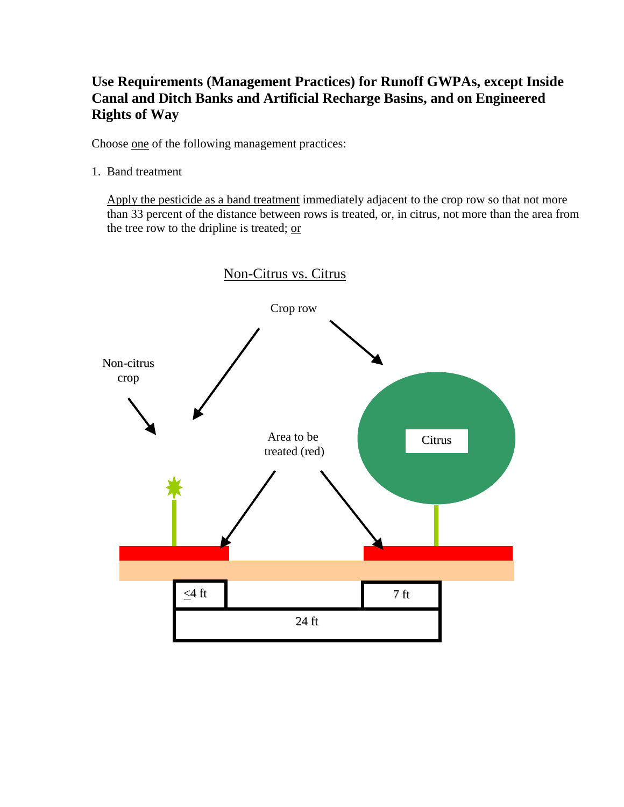## **Use Requirements (Management Practices) for Runoff GWPAs, except Inside Canal and Ditch Banks and Artificial Recharge Basins, and on Engineered Rights of Way**

Choose one of the following management practices:

1. Band treatment

Apply the pesticide as a band treatment immediately adjacent to the crop row so that not more than 33 percent of the distance between rows is treated, or, in citrus, not more than the area from the tree row to the dripline is treated; or

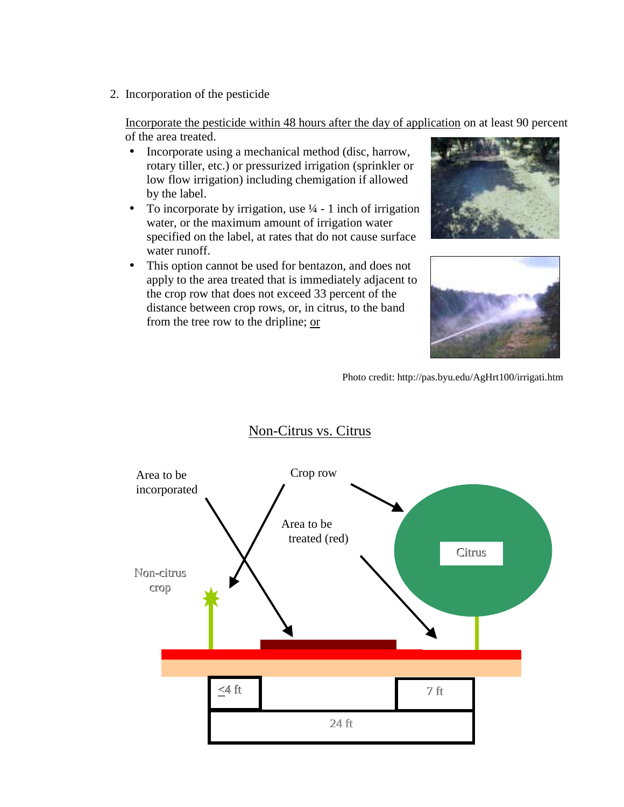2. Incorporation of the pesticide

 Incorporate the pesticide within 48 hours after the day of application on at least 90 percent of the area treated.

- Incorporate using a mechanical method (disc, harrow, rotary tiller, etc.) or pressurized irrigation (sprinkler or low flow irrigation) including chemigation if allowed by the label.
- To incorporate by irrigation, use  $\frac{1}{4}$  1 inch of irrigation water, or the maximum amount of irrigation water specified on the label, at rates that do not cause surface water runoff.
- This option cannot be used for bentazon, and does not apply to the area treated that is immediately adjacent to the crop row that does not exceed 33 percent of the distance between crop rows, or, in citrus, to the band from the tree row to the dripline; or





Photo credit: http://pas.byu.edu/AgHrt100/irrigati.htm



## Non-Citrus vs. Citrus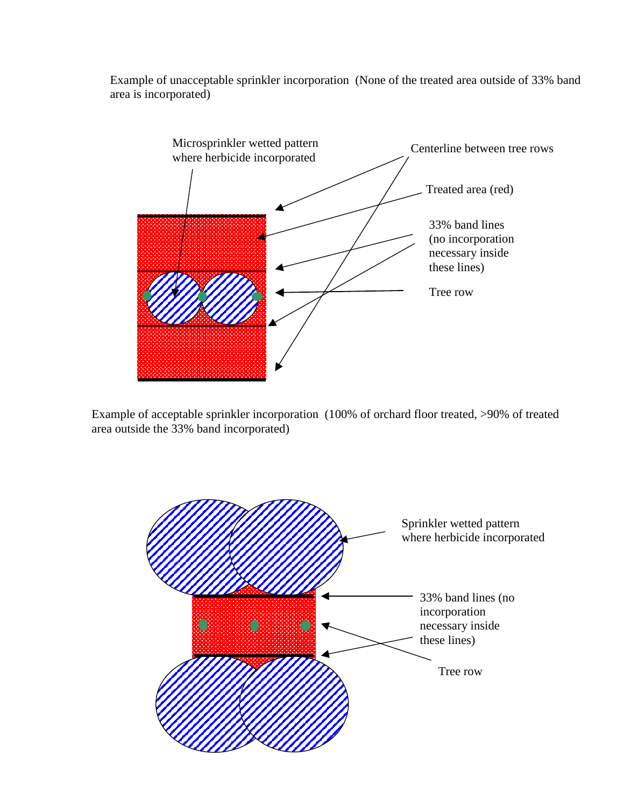Example of unacceptable sprinkler incorporation (None of the treated area outside of 33% band area is incorporated)



Example of acceptable sprinkler incorporation (100% of orchard floor treated, >90% of treated area outside the 33% band incorporated)

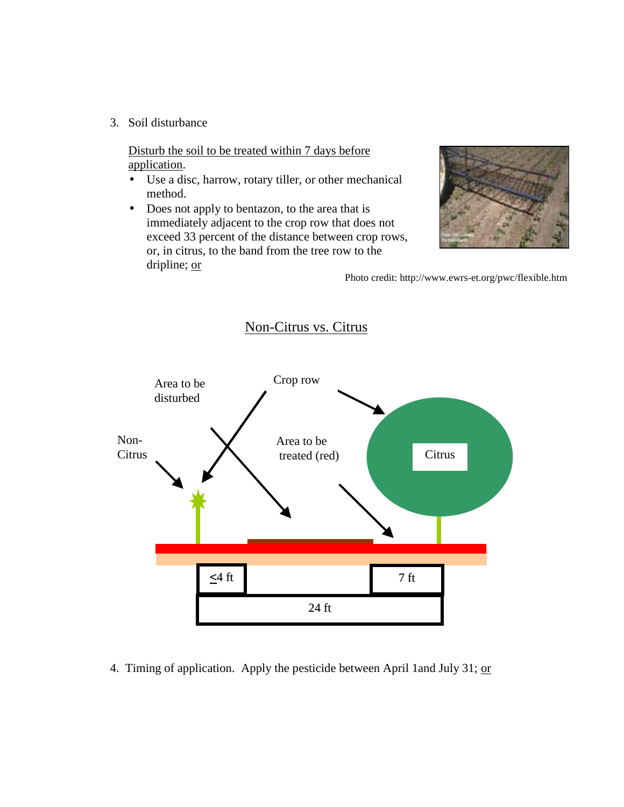3. Soil disturbance

Disturb the soil to be treated within 7 days before application.

- Use a disc, harrow, rotary tiller, or other mechanical method.
- Does not apply to bentazon, to the area that is immediately adjacent to the crop row that does not exceed 33 percent of the distance between crop rows, or, in citrus, to the band from the tree row to the dripline; or



Photo credit: http://www.ewrs-et.org/pwc/flexible.htm



4. Timing of application. Apply the pesticide between April 1and July 31; or

## Non-Citrus vs. Citrus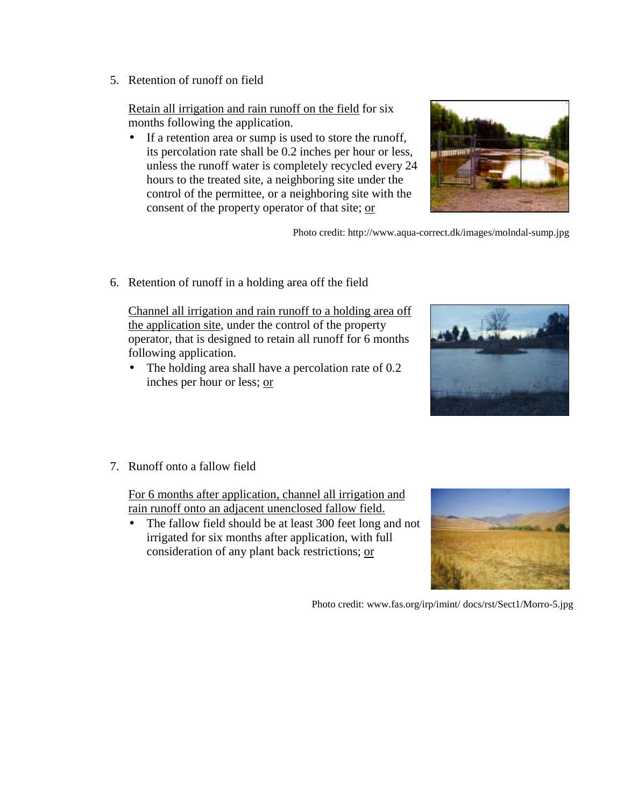5. Retention of runoff on field

Retain all irrigation and rain runoff on the field for six months following the application.

• If a retention area or sump is used to store the runoff, its percolation rate shall be 0.2 inches per hour or less, unless the runoff water is completely recycled every 24 hours to the treated site, a neighboring site under the control of the permittee, or a neighboring site with the consent of the property operator of that site; or



Photo credit: http://www.aqua-correct.dk/images/molndal-sump.jpg

6. Retention of runoff in a holding area off the field

Channel all irrigation and rain runoff to a holding area off the application site, under the control of the property operator, that is designed to retain all runoff for 6 months following application.

• The holding area shall have a percolation rate of 0.2 inches per hour or less; or



7. Runoff onto a fallow field

For 6 months after application, channel all irrigation and rain runoff onto an adjacent unenclosed fallow field.

• The fallow field should be at least 300 feet long and not irrigated for six months after application, with full consideration of any plant back restrictions; or



Photo credit: www.fas.org/irp/imint/ docs/rst/Sect1/Morro-5.jpg